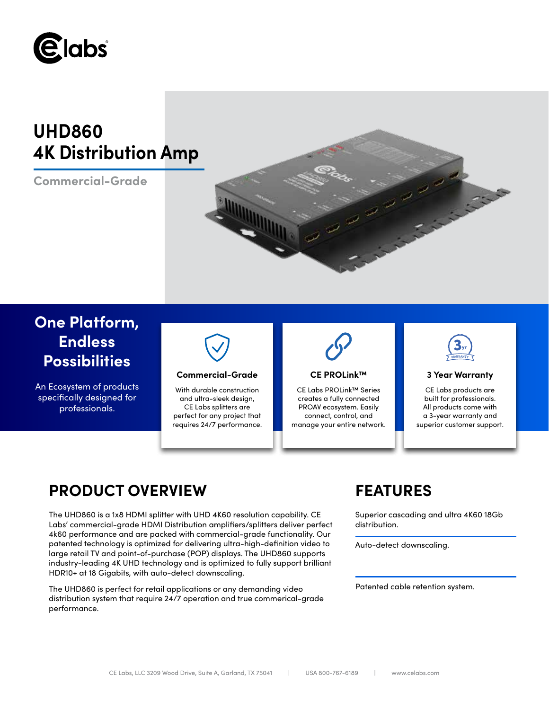

# **UHD860 4K Distribution Amp**

**Commercial-Grade**



# **One Platform, Endless Possibilities**

An Ecosystem of products specifically designed for professionals.



## **Commercial-Grade 3 Year Warranty**

With durable construction and ultra-sleek design, CE Labs splitters are perfect for any project that requires 24/7 performance.



## **CE PROLink™**

CE Labs PROLink™ Series creates a fully connected PROAV ecosystem. Easily connect, control, and manage your entire network.



CE Labs products are built for professionals. All products come with a 3-year warranty and superior customer support.

# **PRODUCT OVERVIEW FEATURES**

The UHD860 is a 1x8 HDMI splitter with UHD 4K60 resolution capability. CE Labs' commercial-grade HDMI Distribution amplifiers/splitters deliver perfect 4k60 performance and are packed with commercial-grade functionality. Our patented technology is optimized for delivering ultra-high-definition video to large retail TV and point-of-purchase (POP) displays. The UHD860 supports industry-leading 4K UHD technology and is optimized to fully support brilliant HDR10+ at 18 Gigabits, with auto-detect downscaling.

The UHD860 is perfect for retail applications or any demanding video distribution system that require 24/7 operation and true commerical-grade performance.

Superior cascading and ultra 4K60 18Gb distribution.

Auto-detect downscaling.

Patented cable retention system.